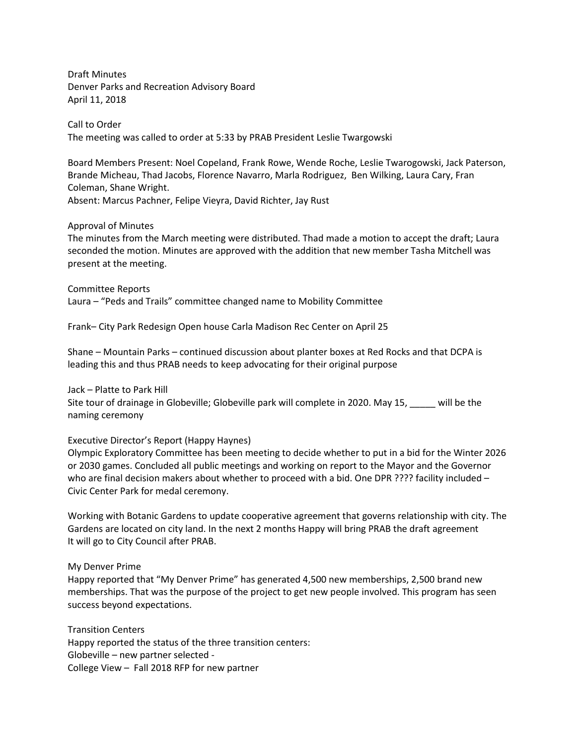Draft Minutes Denver Parks and Recreation Advisory Board April 11, 2018

Call to Order

The meeting was called to order at 5:33 by PRAB President Leslie Twargowski

Board Members Present: Noel Copeland, Frank Rowe, Wende Roche, Leslie Twarogowski, Jack Paterson, Brande Micheau, Thad Jacobs, Florence Navarro, Marla Rodriguez, Ben Wilking, Laura Cary, Fran Coleman, Shane Wright. Absent: Marcus Pachner, Felipe Vieyra, David Richter, Jay Rust

#### Approval of Minutes

The minutes from the March meeting were distributed. Thad made a motion to accept the draft; Laura seconded the motion. Minutes are approved with the addition that new member Tasha Mitchell was present at the meeting.

Committee Reports Laura – "Peds and Trails" committee changed name to Mobility Committee

Frank– City Park Redesign Open house Carla Madison Rec Center on April 25

Shane – Mountain Parks – continued discussion about planter boxes at Red Rocks and that DCPA is leading this and thus PRAB needs to keep advocating for their original purpose

Jack – Platte to Park Hill Site tour of drainage in Globeville; Globeville park will complete in 2020. May 15, will be the naming ceremony

### Executive Director's Report (Happy Haynes)

Olympic Exploratory Committee has been meeting to decide whether to put in a bid for the Winter 2026 or 2030 games. Concluded all public meetings and working on report to the Mayor and the Governor who are final decision makers about whether to proceed with a bid. One DPR ???? facility included – Civic Center Park for medal ceremony.

Working with Botanic Gardens to update cooperative agreement that governs relationship with city. The Gardens are located on city land. In the next 2 months Happy will bring PRAB the draft agreement It will go to City Council after PRAB.

#### My Denver Prime

Happy reported that "My Denver Prime" has generated 4,500 new memberships, 2,500 brand new memberships. That was the purpose of the project to get new people involved. This program has seen success beyond expectations.

Transition Centers Happy reported the status of the three transition centers: Globeville – new partner selected - College View – Fall 2018 RFP for new partner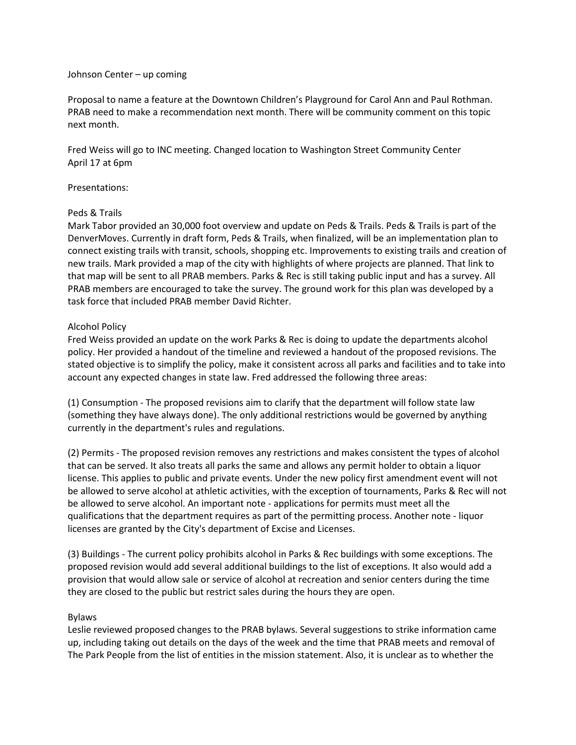### Johnson Center – up coming

Proposal to name a feature at the Downtown Children's Playground for Carol Ann and Paul Rothman. PRAB need to make a recommendation next month. There will be community comment on this topic next month.

Fred Weiss will go to INC meeting. Changed location to Washington Street Community Center April 17 at 6pm

## Presentations:

# Peds & Trails

Mark Tabor provided an 30,000 foot overview and update on Peds & Trails. Peds & Trails is part of the DenverMoves. Currently in draft form, Peds & Trails, when finalized, will be an implementation plan to connect existing trails with transit, schools, shopping etc. Improvements to existing trails and creation of new trails. Mark provided a map of the city with highlights of where projects are planned. That link to that map will be sent to all PRAB members. Parks & Rec is still taking public input and has a survey. All PRAB members are encouraged to take the survey. The ground work for this plan was developed by a task force that included PRAB member David Richter.

# Alcohol Policy

Fred Weiss provided an update on the work Parks & Rec is doing to update the departments alcohol policy. Her provided a handout of the timeline and reviewed a handout of the proposed revisions. The stated objective is to simplify the policy, make it consistent across all parks and facilities and to take into account any expected changes in state law. Fred addressed the following three areas:

(1) Consumption - The proposed revisions aim to clarify that the department will follow state law (something they have always done). The only additional restrictions would be governed by anything currently in the department's rules and regulations.

(2) Permits - The proposed revision removes any restrictions and makes consistent the types of alcohol that can be served. It also treats all parks the same and allows any permit holder to obtain a liquor license. This applies to public and private events. Under the new policy first amendment event will not be allowed to serve alcohol at athletic activities, with the exception of tournaments, Parks & Rec will not be allowed to serve alcohol. An important note - applications for permits must meet all the qualifications that the department requires as part of the permitting process. Another note - liquor licenses are granted by the City's department of Excise and Licenses.

(3) Buildings - The current policy prohibits alcohol in Parks & Rec buildings with some exceptions. The proposed revision would add several additional buildings to the list of exceptions. It also would add a provision that would allow sale or service of alcohol at recreation and senior centers during the time they are closed to the public but restrict sales during the hours they are open.

# Bylaws

Leslie reviewed proposed changes to the PRAB bylaws. Several suggestions to strike information came up, including taking out details on the days of the week and the time that PRAB meets and removal of The Park People from the list of entities in the mission statement. Also, it is unclear as to whether the